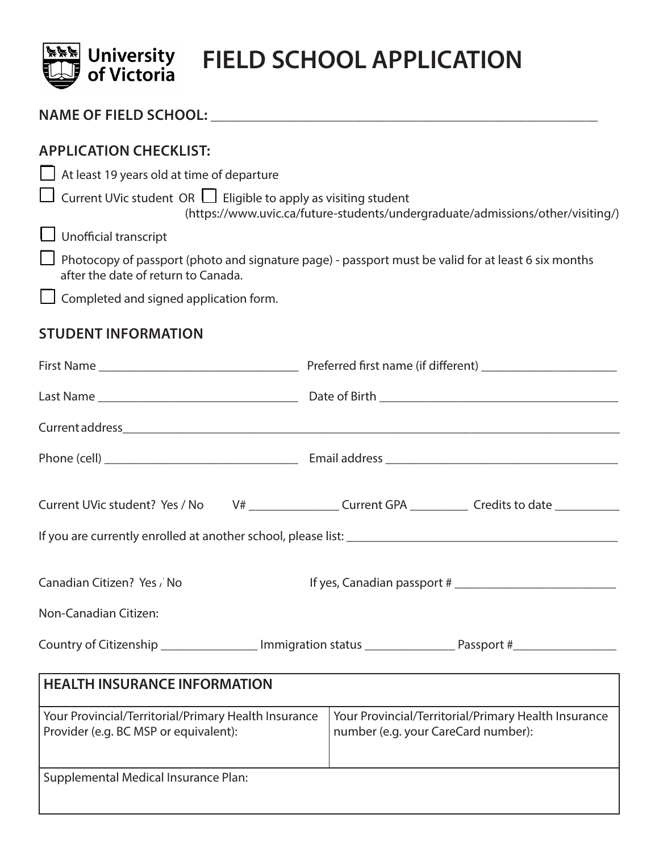

# **EXAM** University FIELD SCHOOL APPLICATION

| <b>APPLICATION CHECKLIST:</b><br>At least 19 years old at time of departure<br>Current UVic student OR $\Box$ Eligible to apply as visiting student<br>(https://www.uvic.ca/future-students/undergraduate/admissions/other/visiting/)<br><b>Unofficial transcript</b><br>Photocopy of passport (photo and signature page) - passport must be valid for at least 6 six months<br>after the date of return to Canada.<br>Completed and signed application form.<br><b>STUDENT INFORMATION</b> |                                                                                             |  |  |
|---------------------------------------------------------------------------------------------------------------------------------------------------------------------------------------------------------------------------------------------------------------------------------------------------------------------------------------------------------------------------------------------------------------------------------------------------------------------------------------------|---------------------------------------------------------------------------------------------|--|--|
|                                                                                                                                                                                                                                                                                                                                                                                                                                                                                             |                                                                                             |  |  |
|                                                                                                                                                                                                                                                                                                                                                                                                                                                                                             |                                                                                             |  |  |
|                                                                                                                                                                                                                                                                                                                                                                                                                                                                                             |                                                                                             |  |  |
|                                                                                                                                                                                                                                                                                                                                                                                                                                                                                             |                                                                                             |  |  |
| Current UVic student? Yes / No                                                                                                                                                                                                                                                                                                                                                                                                                                                              | V# ___________________Current GPA _____________Credits to date ________________             |  |  |
|                                                                                                                                                                                                                                                                                                                                                                                                                                                                                             |                                                                                             |  |  |
| Canadian Citizen? Yes / No<br>If yes, Canadian passport #                                                                                                                                                                                                                                                                                                                                                                                                                                   |                                                                                             |  |  |
| Non-Canadian Citizen:                                                                                                                                                                                                                                                                                                                                                                                                                                                                       |                                                                                             |  |  |
| Country of Citizenship __________________ Immigration status __________________Passport #_________________                                                                                                                                                                                                                                                                                                                                                                                  |                                                                                             |  |  |
| <b>HEALTH INSURANCE INFORMATION</b>                                                                                                                                                                                                                                                                                                                                                                                                                                                         |                                                                                             |  |  |
| Your Provincial/Territorial/Primary Health Insurance<br>Provider (e.g. BC MSP or equivalent):                                                                                                                                                                                                                                                                                                                                                                                               | Your Provincial/Territorial/Primary Health Insurance<br>number (e.g. your CareCard number): |  |  |

Supplemental Medical Insurance Plan: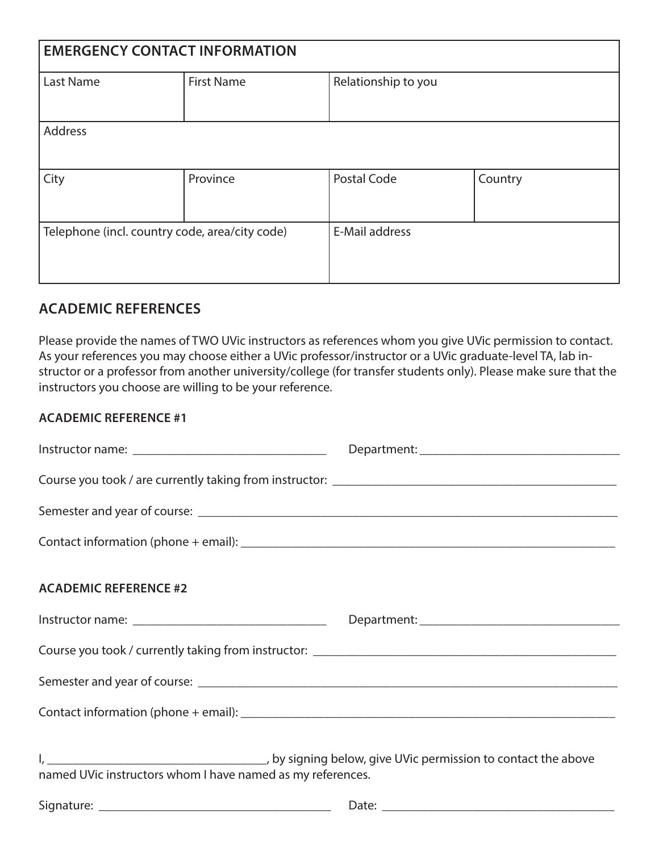| <b>EMERGENCY CONTACT INFORMATION</b>           |                   |                     |         |  |  |
|------------------------------------------------|-------------------|---------------------|---------|--|--|
| <b>Last Name</b>                               | <b>First Name</b> | Relationship to you |         |  |  |
| <b>Address</b>                                 |                   |                     |         |  |  |
| City                                           | Province          | Postal Code         | Country |  |  |
| Telephone (incl. country code, area/city code) |                   | E-Mail address      |         |  |  |

### **ACADEMIC REFERENCES**

Please provide the names of TWO UVic instructors as references whom you give UVic permission to contact. As your references you may choose either a UVic professor/instructor or a UVic graduate-level TA, lab instructor or a professor from another university/college (for transfer students only). Please make sure that the instructors you choose are willing to be your reference.

#### **ACADEMIC REFERENCE #1**

| <b>ACADEMIC REFERENCE #2</b>                               |  |  |
|------------------------------------------------------------|--|--|
|                                                            |  |  |
|                                                            |  |  |
|                                                            |  |  |
|                                                            |  |  |
| named UVic instructors whom I have named as my references. |  |  |
|                                                            |  |  |